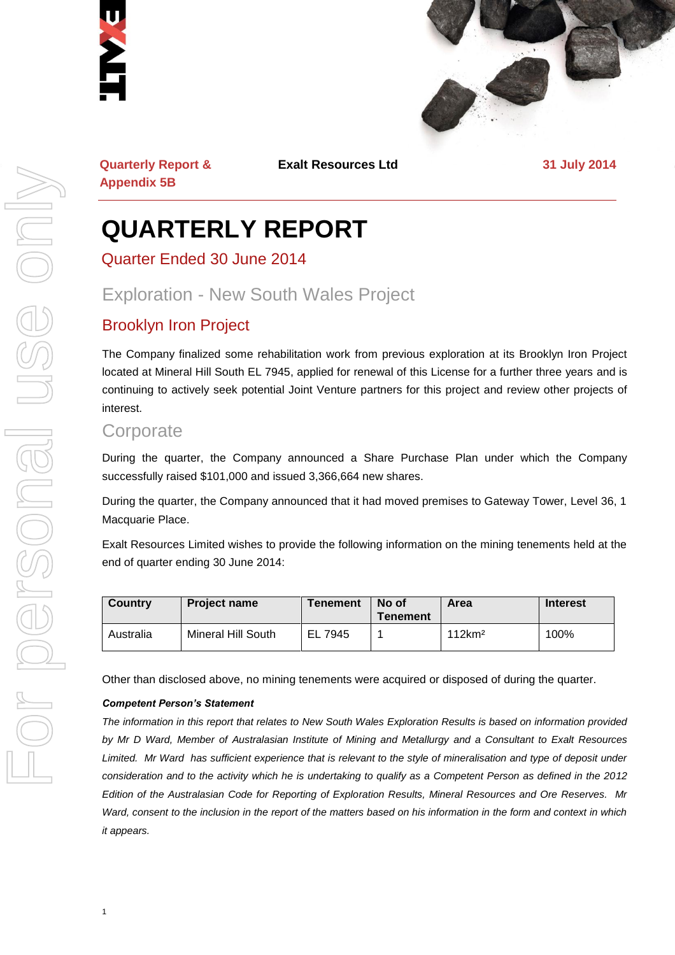



**Quarterly Report & Appendix 5B**

**Exalt Resources Ltd 31 July 2014**

## **QUARTERLY REPORT**

Quarter Ended 30 June 2014

### Exploration - New South Wales Project

#### Brooklyn Iron Project

The Company finalized some rehabilitation work from previous exploration at its Brooklyn Iron Project located at Mineral Hill South EL 7945, applied for renewal of this License for a further three years and is continuing to actively seek potential Joint Venture partners for this project and review other projects of interest.

#### **Corporate**

During the quarter, the Company announced a Share Purchase Plan under which the Company successfully raised \$101,000 and issued 3,366,664 new shares.

During the quarter, the Company announced that it had moved premises to Gateway Tower, Level 36, 1 Macquarie Place.

Exalt Resources Limited wishes to provide the following information on the mining tenements held at the end of quarter ending 30 June 2014:

| Country   | <b>Project name</b> | <b>Tenement</b> | No of<br><b>Tenement</b> | Area               | <b>Interest</b> |
|-----------|---------------------|-----------------|--------------------------|--------------------|-----------------|
| Australia | Mineral Hill South  | EL 7945         |                          | 112km <sup>2</sup> | 100%            |

Other than disclosed above, no mining tenements were acquired or disposed of during the quarter.

#### *Competent Person's Statement*

*The information in this report that relates to New South Wales Exploration Results is based on information provided by Mr D Ward, Member of Australasian Institute of Mining and Metallurgy and a Consultant to Exalt Resources*  Limited. Mr Ward has sufficient experience that is relevant to the style of mineralisation and type of deposit under *consideration and to the activity which he is undertaking to qualify as a Competent Person as defined in the 2012 Edition of the Australasian Code for Reporting of Exploration Results, Mineral Resources and Ore Reserves. Mr Ward, consent to the inclusion in the report of the matters based on his information in the form and context in which it appears.*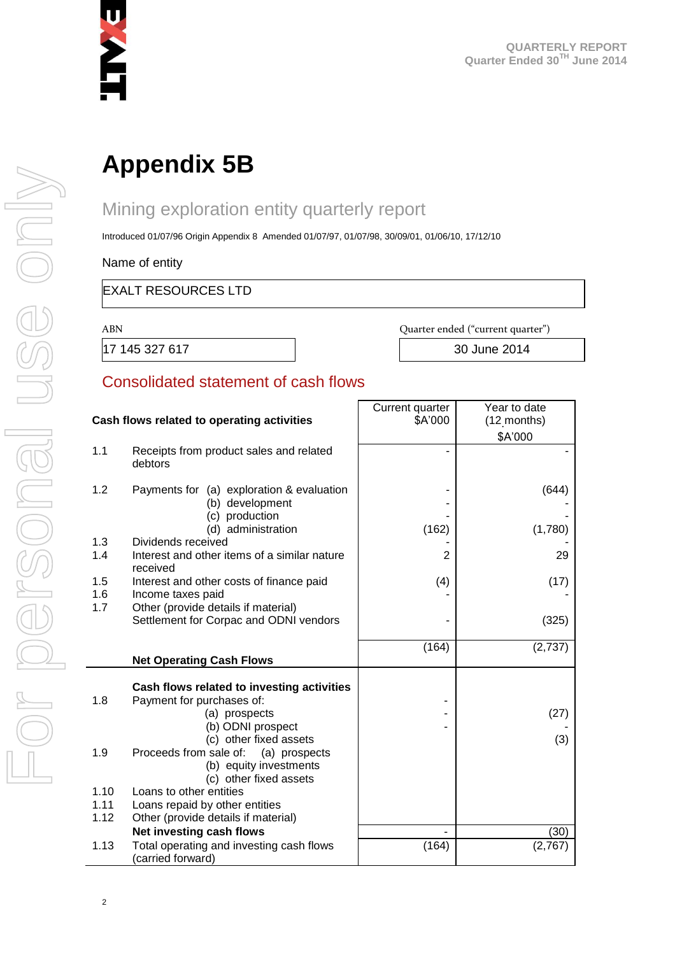

# **Appendix 5B**

## Mining exploration entity quarterly report

Introduced 01/07/96 Origin Appendix 8 Amended 01/07/97, 01/07/98, 30/09/01, 01/06/10, 17/12/10

Name of entity

#### EXALT RESOURCES LTD

ABN Quarter ended ("current quarter")

17 145 327 617 30 June 2014

#### Consolidated statement of cash flows

|                                            |                                                                                             | Current quarter | Year to date |
|--------------------------------------------|---------------------------------------------------------------------------------------------|-----------------|--------------|
| Cash flows related to operating activities |                                                                                             | \$A'000         | (12 months)  |
|                                            |                                                                                             |                 | \$A'000      |
| 1.1                                        | Receipts from product sales and related<br>debtors                                          |                 |              |
| 1.2                                        | Payments for (a) exploration & evaluation<br>(b) development<br>(c) production              |                 | (644)        |
|                                            | (d) administration                                                                          | (162)           | (1,780)      |
| 1.3                                        | Dividends received                                                                          |                 |              |
| 1.4                                        | Interest and other items of a similar nature<br>received                                    | 2               | 29           |
| 1.5                                        | Interest and other costs of finance paid                                                    | (4)             | (17)         |
| 1.6                                        | Income taxes paid                                                                           |                 |              |
| 1.7                                        | Other (provide details if material)                                                         |                 |              |
|                                            | Settlement for Corpac and ODNI vendors                                                      |                 | (325)        |
|                                            |                                                                                             | (164)           | (2,737)      |
|                                            | <b>Net Operating Cash Flows</b>                                                             |                 |              |
|                                            |                                                                                             |                 |              |
|                                            | Cash flows related to investing activities                                                  |                 |              |
| 1.8                                        | Payment for purchases of:                                                                   |                 |              |
|                                            | (a) prospects                                                                               |                 | (27)         |
|                                            | (b) ODNI prospect                                                                           |                 |              |
|                                            | (c) other fixed assets                                                                      |                 | (3)          |
| 1.9                                        | Proceeds from sale of:<br>(a) prospects<br>(b) equity investments<br>(c) other fixed assets |                 |              |
| 1.10                                       | Loans to other entities                                                                     |                 |              |
| 1.11                                       | Loans repaid by other entities                                                              |                 |              |
| 1.12                                       | Other (provide details if material)                                                         |                 |              |
|                                            | Net investing cash flows                                                                    |                 | (30)         |
| 1.13                                       | Total operating and investing cash flows<br>(carried forward)                               | (164)           | (2,767)      |

г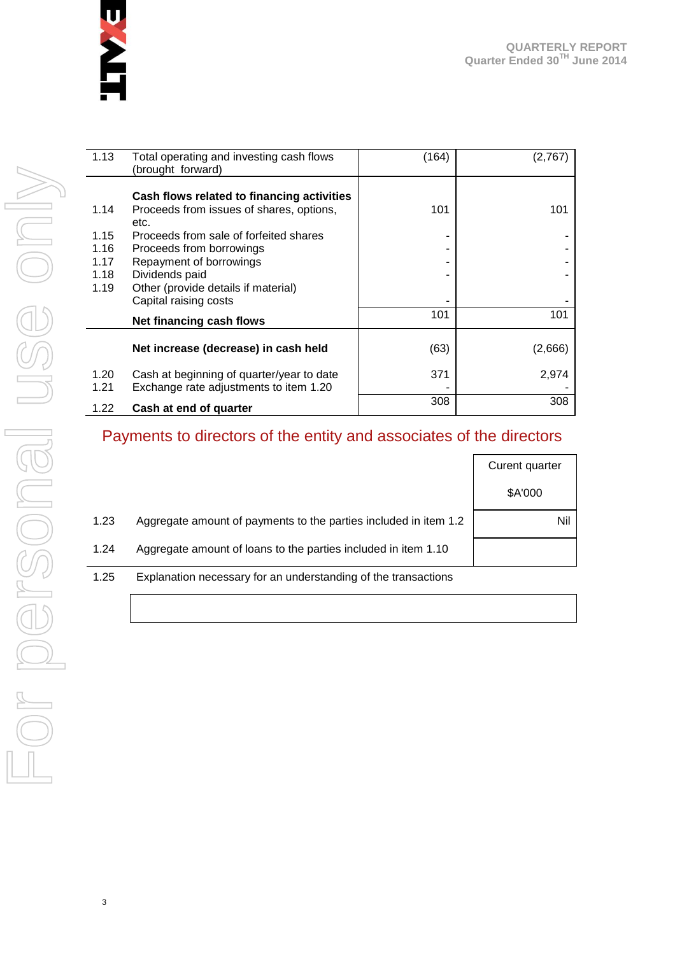

| 1.13 | Total operating and investing cash flows<br>(brought forward) | (164) | (2,767) |
|------|---------------------------------------------------------------|-------|---------|
|      | Cash flows related to financing activities                    |       |         |
| 1.14 | Proceeds from issues of shares, options,<br>etc.              | 101   | 101     |
| 1.15 | Proceeds from sale of forfeited shares                        |       |         |
| 1.16 | Proceeds from borrowings                                      |       |         |
| 1.17 | Repayment of borrowings                                       |       |         |
| 1.18 | Dividends paid                                                |       |         |
| 1.19 | Other (provide details if material)                           |       |         |
|      | Capital raising costs                                         |       |         |
|      | Net financing cash flows                                      | 101   | 101     |
|      | Net increase (decrease) in cash held                          | (63)  | (2,666) |
| 1.20 | Cash at beginning of quarter/year to date                     | 371   | 2,974   |
| 1.21 | Exchange rate adjustments to item 1.20                        |       |         |
| 1.22 | Cash at end of quarter                                        | 308   | 308     |

#### Payments to directors of the entity and associates of the directors

|      |                                                                  | Curent quarter |
|------|------------------------------------------------------------------|----------------|
|      |                                                                  | \$A'000        |
| 1.23 | Aggregate amount of payments to the parties included in item 1.2 | Nil            |
| 1.24 | Aggregate amount of loans to the parties included in item 1.10   |                |
| 1.25 | Explanation necessary for an understanding of the transactions   |                |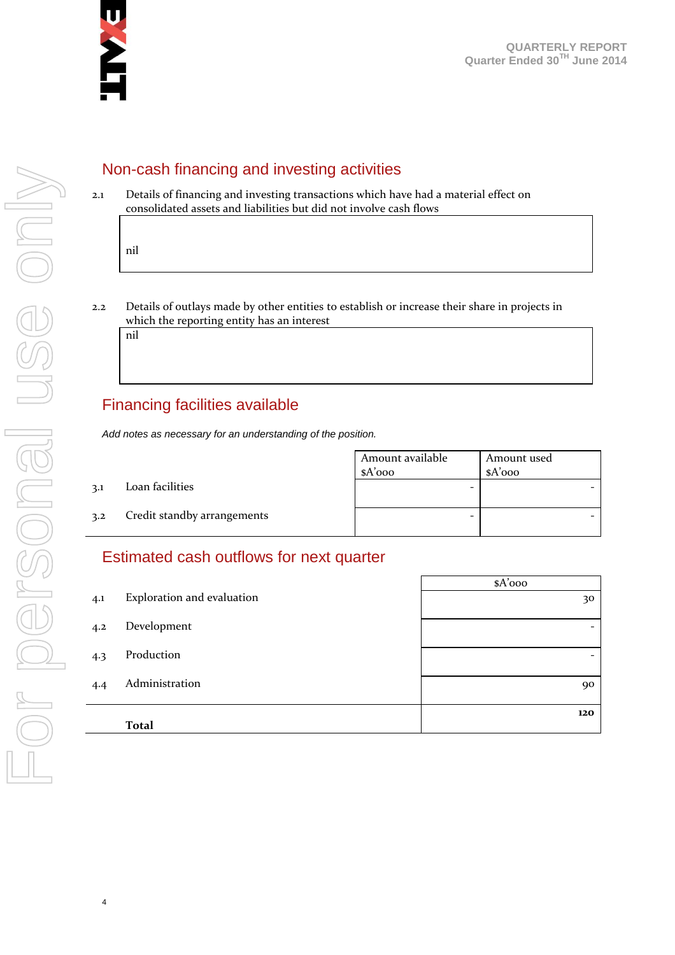

#### Non-cash financing and investing activities

2.1 Details of financing and investing transactions which have had a material effect on consolidated assets and liabilities but did not involve cash flows

nil

2.2 Details of outlays made by other entities to establish or increase their share in projects in which the reporting entity has an interest

nil

4

#### Financing facilities available

*Add notes as necessary for an understanding of the position.*

Amount available \$A'000 Amount used \$A'000 3.1 Loan facilities - - 3.2 Credit standby arrangements and  $\overline{a}$  -  $\overline{a}$  -  $\overline{a}$  -  $\overline{a}$  -  $\overline{a}$ 

#### Estimated cash outflows for next quarter

|     |                            | $A'$ 000                 |
|-----|----------------------------|--------------------------|
| 4.1 | Exploration and evaluation | 30                       |
| 4.2 | Development                | $\overline{\phantom{0}}$ |
| 4.3 | Production                 | $\overline{\phantom{0}}$ |
| 4.4 | Administration             | 90                       |
|     | <b>Total</b>               | 120                      |
|     |                            |                          |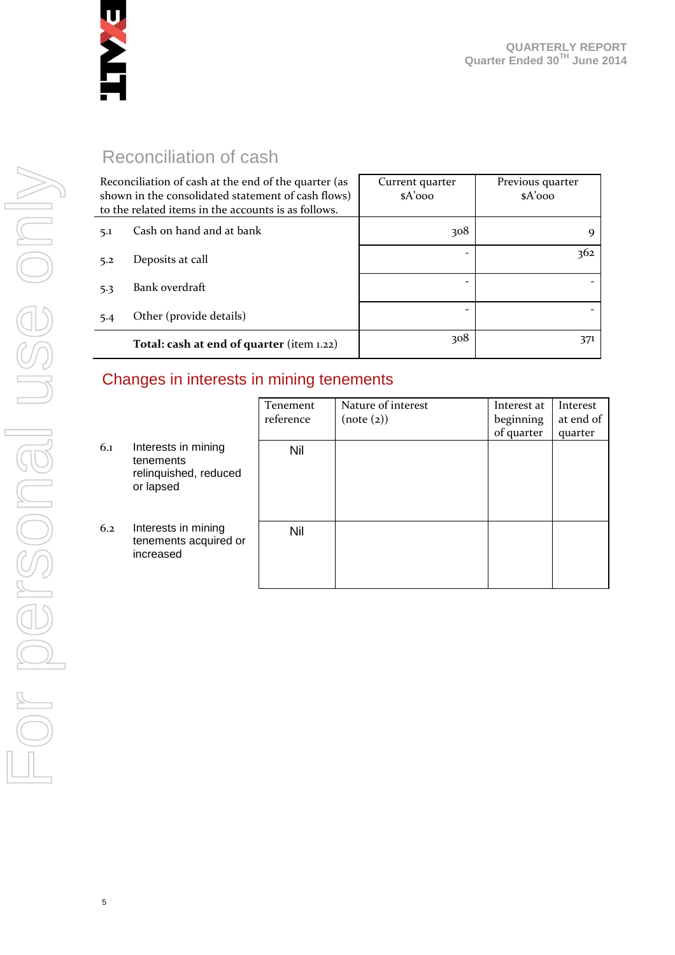

### Reconciliation of cash

| Reconciliation of cash at the end of the quarter (as<br>shown in the consolidated statement of cash flows)<br>to the related items in the accounts is as follows. |                                           | Current quarter<br>$A'$ 000 | Previous quarter<br>$A'$ 000 |
|-------------------------------------------------------------------------------------------------------------------------------------------------------------------|-------------------------------------------|-----------------------------|------------------------------|
| 5.1                                                                                                                                                               | Cash on hand and at bank                  | 308                         | Q                            |
| 5.2                                                                                                                                                               | Deposits at call                          |                             | 362                          |
| 5.3                                                                                                                                                               | Bank overdraft                            |                             |                              |
| 5.4                                                                                                                                                               | Other (provide details)                   |                             |                              |
|                                                                                                                                                                   | Total: cash at end of quarter (item 1.22) | 308                         | 371                          |

#### Changes in interests in mining tenements

|     |                                                                        | Tenement<br>reference | Nature of interest<br>(note (2)) | Interest at<br>beginning<br>of quarter | Interest<br>at end of<br>quarter |
|-----|------------------------------------------------------------------------|-----------------------|----------------------------------|----------------------------------------|----------------------------------|
| 6.1 | Interests in mining<br>tenements<br>relinquished, reduced<br>or lapsed | Nil                   |                                  |                                        |                                  |
| 6.2 | Interests in mining<br>tenements acquired or<br>increased              | Nil                   |                                  |                                        |                                  |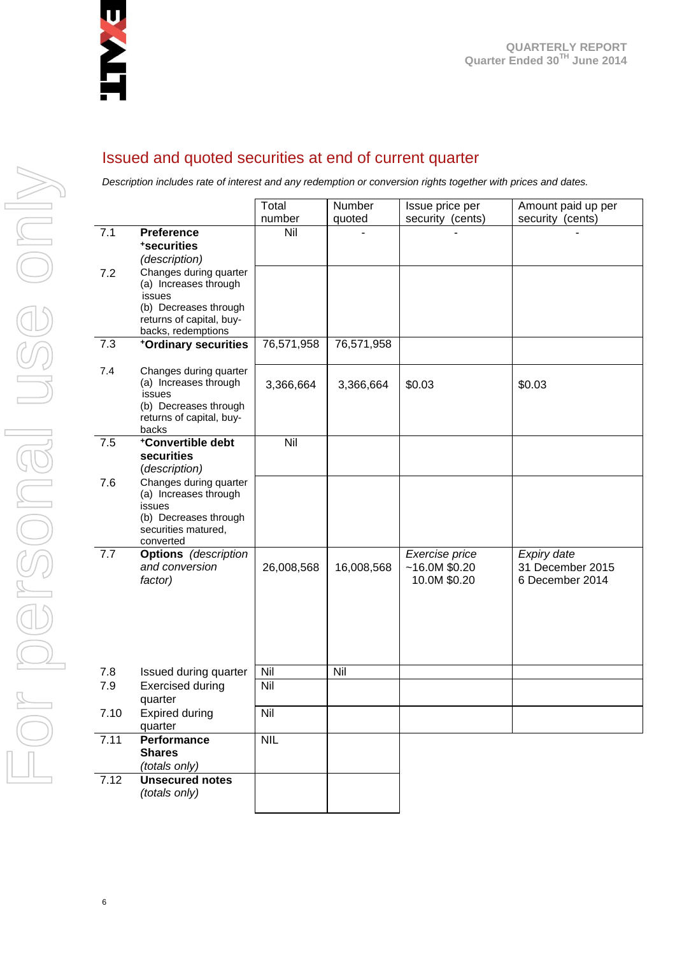

#### Issued and quoted securities at end of current quarter

*Description includes rate of interest and any redemption or conversion rights together with prices and dates.*

|      |                                                                                                                                      | Total<br>number | Number<br>quoted | Issue price per<br>security (cents)             | Amount paid up per<br>security (cents)             |
|------|--------------------------------------------------------------------------------------------------------------------------------------|-----------------|------------------|-------------------------------------------------|----------------------------------------------------|
| 7.1  | <b>Preference</b><br>*securities<br>(description)                                                                                    | Nil             |                  |                                                 |                                                    |
| 7.2  | Changes during quarter<br>(a) Increases through<br>issues<br>(b) Decreases through<br>returns of capital, buy-<br>backs, redemptions |                 |                  |                                                 |                                                    |
| 7.3  | +Ordinary securities                                                                                                                 | 76,571,958      | 76,571,958       |                                                 |                                                    |
| 7.4  | Changes during quarter<br>(a) Increases through<br>issues<br>(b) Decreases through<br>returns of capital, buy-<br>backs              | 3,366,664       | 3,366,664        | \$0.03                                          | \$0.03                                             |
| 7.5  | +Convertible debt<br>securities<br>(description)                                                                                     | Nil             |                  |                                                 |                                                    |
| 7.6  | Changes during quarter<br>(a) Increases through<br>issues<br>(b) Decreases through<br>securities matured,<br>converted               |                 |                  |                                                 |                                                    |
| 7.7  | <b>Options</b> (description<br>and conversion<br>factor)                                                                             | 26,008,568      | 16,008,568       | Exercise price<br>~16.0M~\$0.20<br>10.0M \$0.20 | Expiry date<br>31 December 2015<br>6 December 2014 |
| 7.8  | Issued during quarter                                                                                                                | Nil             | Nil              |                                                 |                                                    |
| 7.9  | <b>Exercised during</b><br>quarter                                                                                                   | Nil             |                  |                                                 |                                                    |
| 7.10 | <b>Expired during</b><br>quarter                                                                                                     | Nil             |                  |                                                 |                                                    |
| 7.11 | <b>Performance</b><br><b>Shares</b><br>(totals only)                                                                                 | <b>NIL</b>      |                  |                                                 |                                                    |
| 7.12 | <b>Unsecured notes</b><br>(totals only)                                                                                              |                 |                  |                                                 |                                                    |